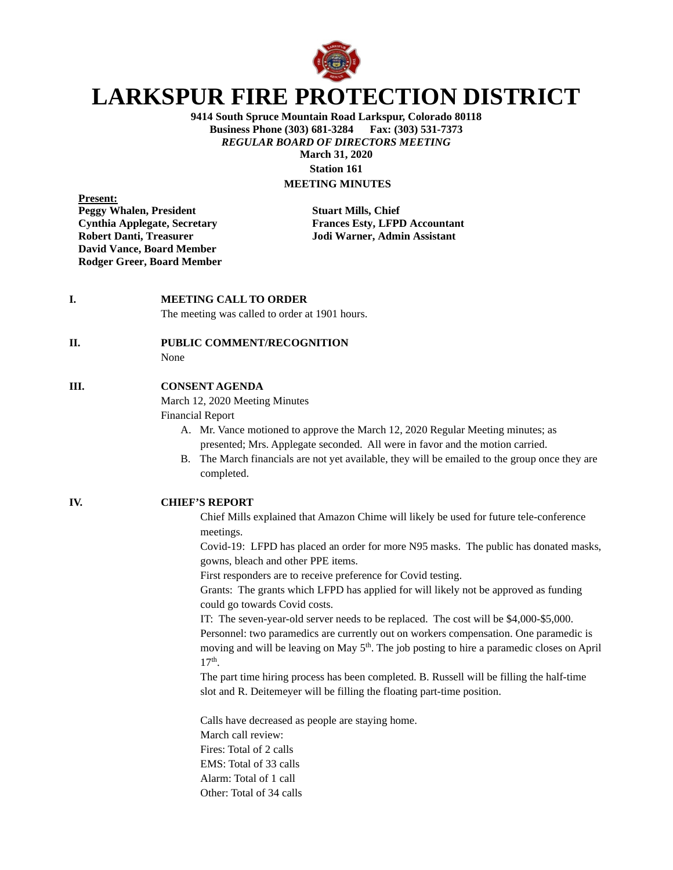

# **LARKSPUR FIRE PROTECTION DISTRICT**

**9414 South Spruce Mountain Road Larkspur, Colorado 80118 Business Phone (303) 681-3284** *REGULAR BOARD OF DIRECTORS MEETING* **March 31, 2020 Station 161**

# **MEETING MINUTES**

**Present: Peggy Whalen, President Stuart Mills, Chief Robert Danti, Treasurer Jodi Warner, Admin Assistant David Vance, Board Member Rodger Greer, Board Member**

**Cynthia Applegate, Secretary Frances Esty, LFPD Accountant**

#### **I. MEETING CALL TO ORDER**

The meeting was called to order at 1901 hours.

## **II. PUBLIC COMMENT/RECOGNITION**

None

# **III. CONSENT AGENDA**

March 12, 2020 Meeting Minutes

Financial Report

- A. Mr. Vance motioned to approve the March 12, 2020 Regular Meeting minutes; as presented; Mrs. Applegate seconded. All were in favor and the motion carried.
- B. The March financials are not yet available, they will be emailed to the group once they are completed.

#### **IV. CHIEF'S REPORT**

Chief Mills explained that Amazon Chime will likely be used for future tele-conference meetings.

Covid-19: LFPD has placed an order for more N95 masks. The public has donated masks, gowns, bleach and other PPE items.

First responders are to receive preference for Covid testing.

Grants: The grants which LFPD has applied for will likely not be approved as funding could go towards Covid costs.

IT: The seven-year-old server needs to be replaced. The cost will be \$4,000-\$5,000. Personnel: two paramedics are currently out on workers compensation. One paramedic is moving and will be leaving on May  $5<sup>th</sup>$ . The job posting to hire a paramedic closes on April 17th.

The part time hiring process has been completed. B. Russell will be filling the half-time slot and R. Deitemeyer will be filling the floating part-time position.

Calls have decreased as people are staying home. March call review: Fires: Total of 2 calls EMS: Total of 33 calls Alarm: Total of 1 call Other: Total of 34 calls